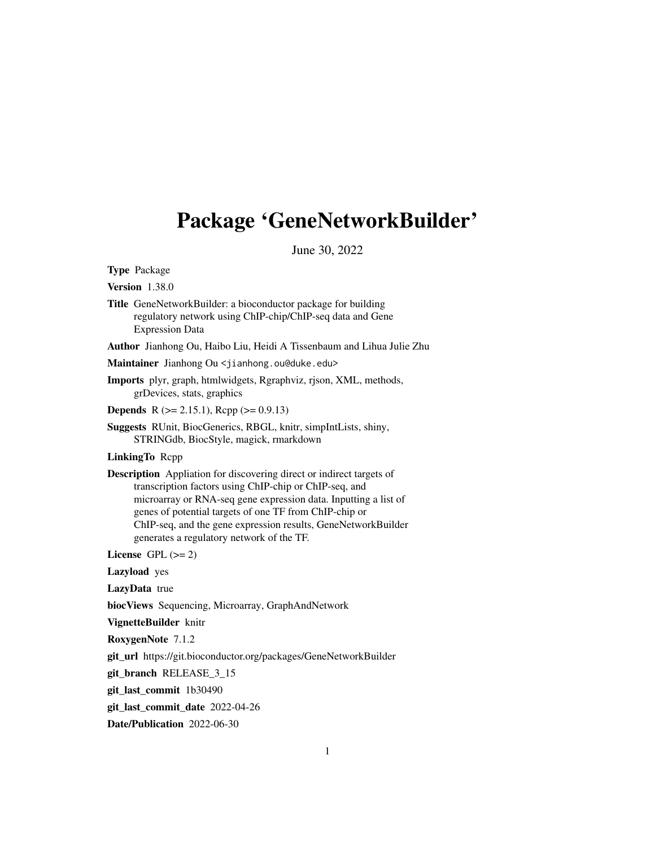## <span id="page-0-0"></span>Package 'GeneNetworkBuilder'

June 30, 2022

Type Package

Version 1.38.0

- Title GeneNetworkBuilder: a bioconductor package for building regulatory network using ChIP-chip/ChIP-seq data and Gene Expression Data
- Author Jianhong Ou, Haibo Liu, Heidi A Tissenbaum and Lihua Julie Zhu

Maintainer Jianhong Ou <jianhong.ou@duke.edu>

- Imports plyr, graph, htmlwidgets, Rgraphviz, rjson, XML, methods, grDevices, stats, graphics
- **Depends** R ( $>= 2.15.1$ ), Rcpp ( $>= 0.9.13$ )
- Suggests RUnit, BiocGenerics, RBGL, knitr, simpIntLists, shiny, STRINGdb, BiocStyle, magick, rmarkdown

LinkingTo Rcpp

Description Appliation for discovering direct or indirect targets of transcription factors using ChIP-chip or ChIP-seq, and microarray or RNA-seq gene expression data. Inputting a list of genes of potential targets of one TF from ChIP-chip or ChIP-seq, and the gene expression results, GeneNetworkBuilder generates a regulatory network of the TF.

License GPL  $(>= 2)$ 

Lazyload yes

LazyData true

biocViews Sequencing, Microarray, GraphAndNetwork

VignetteBuilder knitr

RoxygenNote 7.1.2

git\_url https://git.bioconductor.org/packages/GeneNetworkBuilder

git\_branch RELEASE\_3\_15

git\_last\_commit 1b30490

git last commit date 2022-04-26

Date/Publication 2022-06-30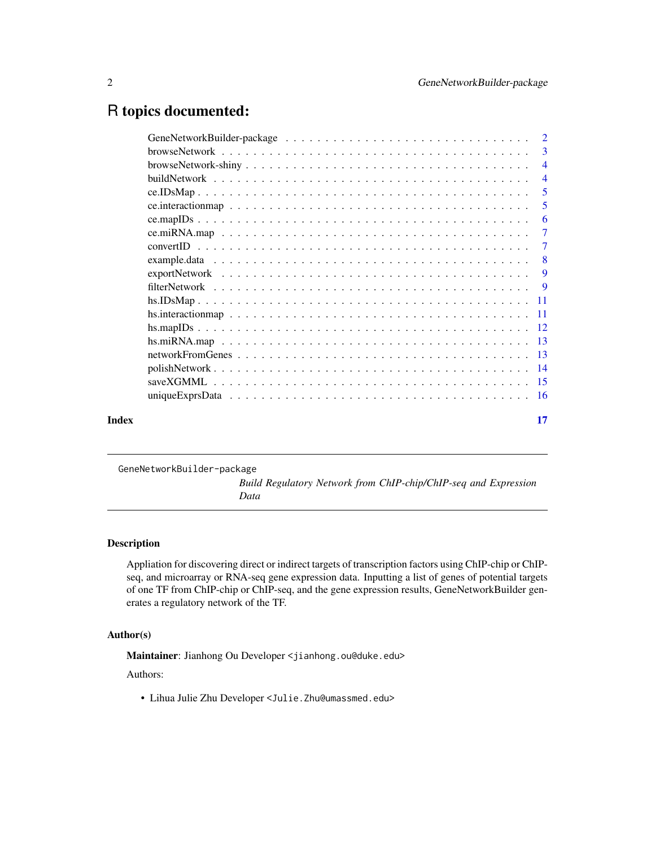## <span id="page-1-0"></span>R topics documented:

|       | -3             |
|-------|----------------|
|       | $\overline{4}$ |
|       | $\overline{4}$ |
|       | $\overline{5}$ |
|       | 5              |
|       | 6              |
|       | $\overline{7}$ |
|       | $\overline{7}$ |
|       | -8             |
|       | 9              |
|       |                |
|       |                |
|       |                |
|       |                |
|       |                |
|       |                |
|       |                |
|       |                |
|       |                |
| Index | 17             |

GeneNetworkBuilder-package

*Build Regulatory Network from ChIP-chip/ChIP-seq and Expression Data*

## Description

Appliation for discovering direct or indirect targets of transcription factors using ChIP-chip or ChIPseq, and microarray or RNA-seq gene expression data. Inputting a list of genes of potential targets of one TF from ChIP-chip or ChIP-seq, and the gene expression results, GeneNetworkBuilder generates a regulatory network of the TF.

## Author(s)

Maintainer: Jianhong Ou Developer <jianhong.ou@duke.edu>

Authors:

• Lihua Julie Zhu Developer <Julie.Zhu@umassmed.edu>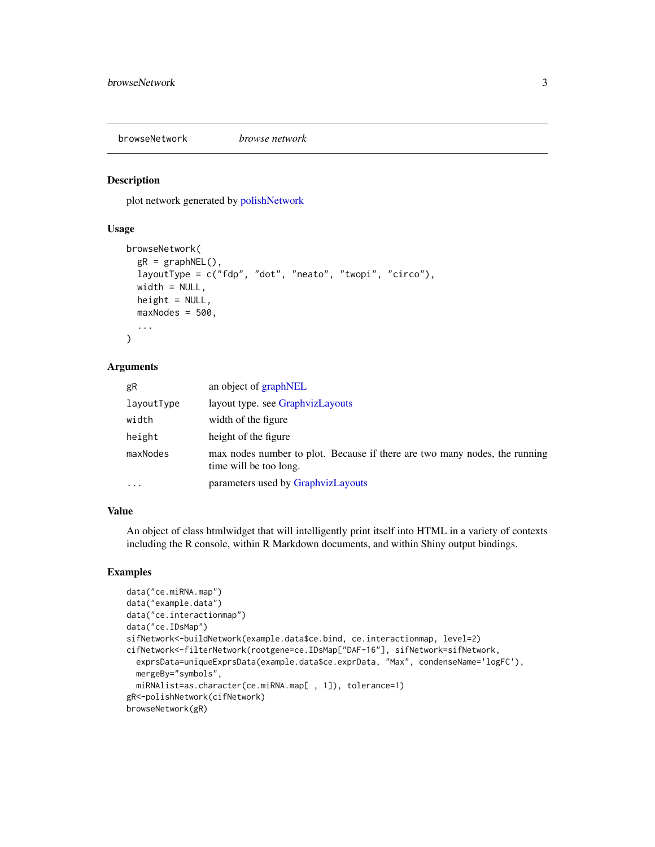<span id="page-2-1"></span><span id="page-2-0"></span>browseNetwork *browse network*

#### **Description**

plot network generated by [polishNetwork](#page-13-1)

## Usage

```
browseNetwork(
  gR = graphNEL(),
  layoutType = c("fdp", "dot", "neato", "twopi", "circo"),
  width = NULL,
  height = NULL,maxNodes = 500,...
)
```
#### Arguments

| gR         | an object of graphNEL                                                                                |
|------------|------------------------------------------------------------------------------------------------------|
| layoutType | layout type. see GraphyizLayouts                                                                     |
| width      | width of the figure                                                                                  |
| height     | height of the figure                                                                                 |
| maxNodes   | max nodes number to plot. Because if there are two many nodes, the running<br>time will be too long. |
| $\cdots$   | parameters used by GraphyizLayouts                                                                   |

#### Value

An object of class htmlwidget that will intelligently print itself into HTML in a variety of contexts including the R console, within R Markdown documents, and within Shiny output bindings.

```
data("ce.miRNA.map")
data("example.data")
data("ce.interactionmap")
data("ce.IDsMap")
sifNetwork<-buildNetwork(example.data$ce.bind, ce.interactionmap, level=2)
cifNetwork<-filterNetwork(rootgene=ce.IDsMap["DAF-16"], sifNetwork=sifNetwork,
 exprsData=uniqueExprsData(example.data$ce.exprData, "Max", condenseName='logFC'),
 mergeBy="symbols",
 miRNAlist=as.character(ce.miRNA.map[ , 1]), tolerance=1)
gR<-polishNetwork(cifNetwork)
browseNetwork(gR)
```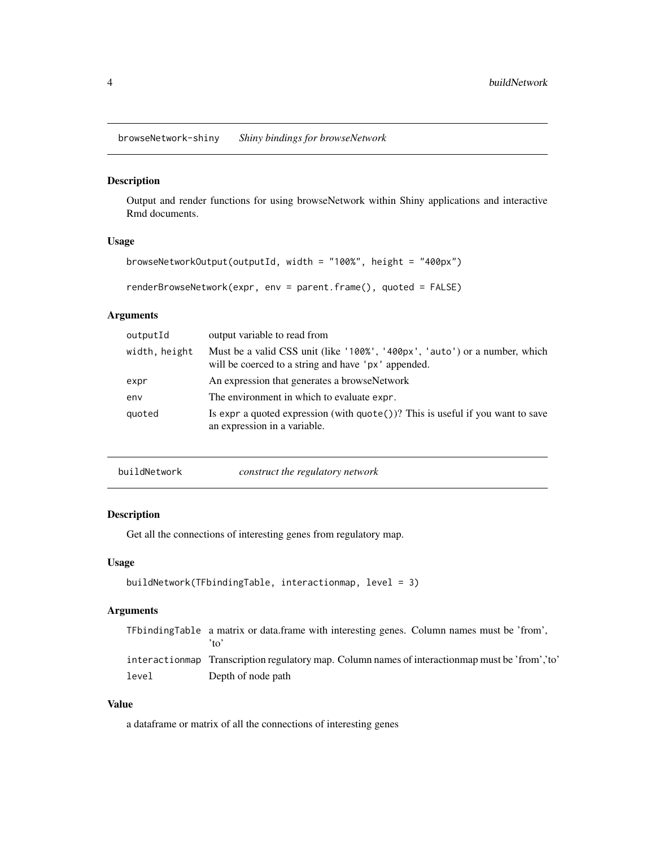<span id="page-3-0"></span>browseNetwork-shiny *Shiny bindings for browseNetwork*

#### Description

Output and render functions for using browseNetwork within Shiny applications and interactive Rmd documents.

## Usage

```
browseNetworkOutput(outputId, width = "100%", height = "400px")
```
renderBrowseNetwork(expr, env = parent.frame(), quoted = FALSE)

## Arguments

| outputId      | output variable to read from                                                                                                      |
|---------------|-----------------------------------------------------------------------------------------------------------------------------------|
| width, height | Must be a valid CSS unit (like '100%', '400px', 'auto') or a number, which<br>will be coerced to a string and have 'px' appended. |
| expr          | An expression that generates a browseNetwork                                                                                      |
| env           | The environment in which to evaluate expr.                                                                                        |
| quoted        | Is expr a quoted expression (with $\text{quote}()$ ? This is useful if you want to save<br>an expression in a variable.           |

| buildNetwork | construct the regulatory network |
|--------------|----------------------------------|
|--------------|----------------------------------|

#### Description

Get all the connections of interesting genes from regulatory map.

## Usage

```
buildNetwork(TFbindingTable, interactionmap, level = 3)
```
## Arguments

|       | TFbindingTable a matrix or data.frame with interesting genes. Column names must be 'from',<br>$^{\prime}$ to' |
|-------|---------------------------------------------------------------------------------------------------------------|
|       | interaction map Transcription regulatory map. Column names of interaction map must be 'from', 'to'            |
| level | Depth of node path                                                                                            |

## Value

a dataframe or matrix of all the connections of interesting genes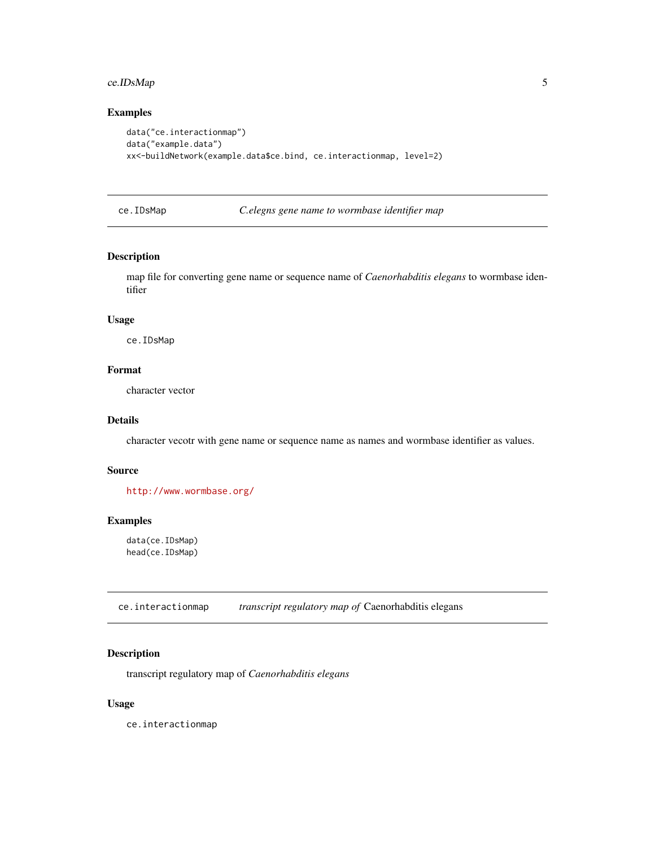## <span id="page-4-0"></span>ce.IDsMap 5

## Examples

```
data("ce.interactionmap")
data("example.data")
xx<-buildNetwork(example.data$ce.bind, ce.interactionmap, level=2)
```
ce.IDsMap *C.elegns gene name to wormbase identifier map*

#### Description

map file for converting gene name or sequence name of *Caenorhabditis elegans* to wormbase identifier

#### Usage

ce.IDsMap

## Format

character vector

## Details

character vecotr with gene name or sequence name as names and wormbase identifier as values.

#### Source

<http://www.wormbase.org/>

## Examples

data(ce.IDsMap) head(ce.IDsMap)

ce.interactionmap *transcript regulatory map of* Caenorhabditis elegans

### Description

transcript regulatory map of *Caenorhabditis elegans*

#### Usage

ce.interactionmap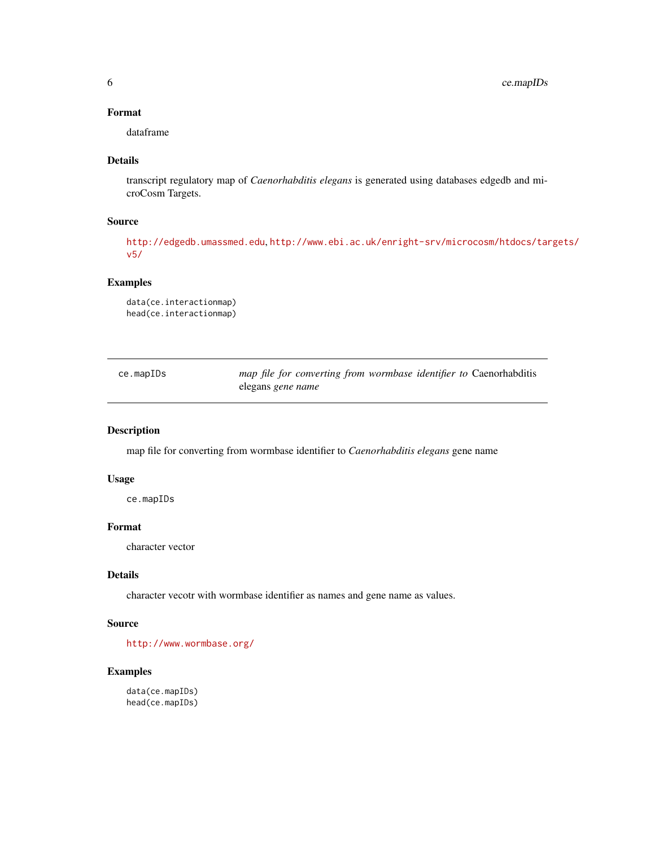## <span id="page-5-0"></span>Format

dataframe

## Details

transcript regulatory map of *Caenorhabditis elegans* is generated using databases edgedb and microCosm Targets.

#### Source

<http://edgedb.umassmed.edu>, [http://www.ebi.ac.uk/enright-srv/microcosm/htdocs/tar](http://www.ebi.ac.uk/enright-srv/microcosm/htdocs/targets/v5/)gets/ [v5/](http://www.ebi.ac.uk/enright-srv/microcosm/htdocs/targets/v5/)

## Examples

```
data(ce.interactionmap)
head(ce.interactionmap)
```

| ce.mapIDs | map file for converting from wormbase identifier to Caenorhabditis |  |
|-----------|--------------------------------------------------------------------|--|
|           | elegans <i>gene name</i>                                           |  |

## Description

map file for converting from wormbase identifier to *Caenorhabditis elegans* gene name

#### Usage

ce.mapIDs

## Format

character vector

## Details

character vecotr with wormbase identifier as names and gene name as values.

#### Source

<http://www.wormbase.org/>

```
data(ce.mapIDs)
head(ce.mapIDs)
```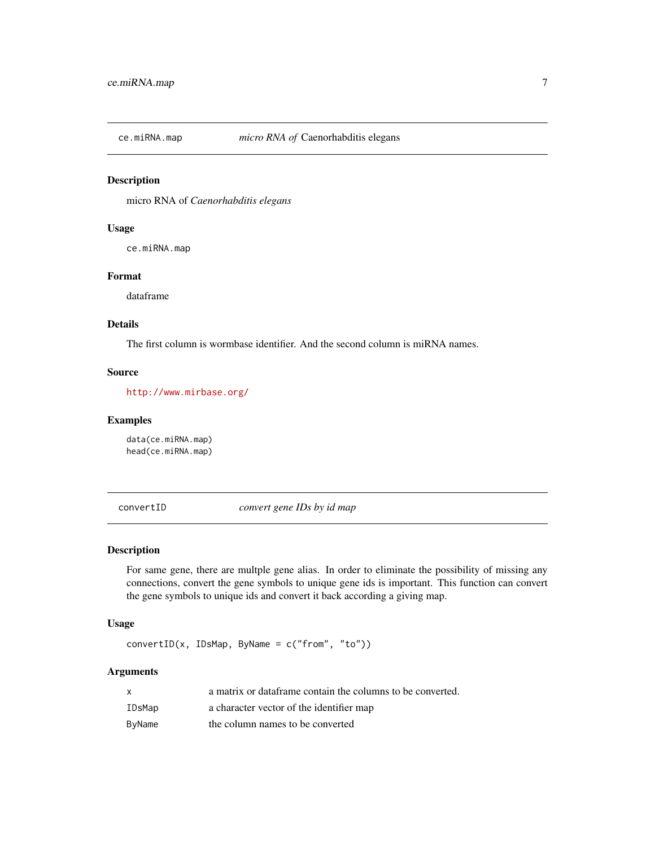<span id="page-6-0"></span>

micro RNA of *Caenorhabditis elegans*

#### Usage

ce.miRNA.map

## Format

dataframe

## Details

The first column is wormbase identifier. And the second column is miRNA names.

#### Source

<http://www.mirbase.org/>

#### Examples

data(ce.miRNA.map) head(ce.miRNA.map)

convertID *convert gene IDs by id map*

#### Description

For same gene, there are multple gene alias. In order to eliminate the possibility of missing any connections, convert the gene symbols to unique gene ids is important. This function can convert the gene symbols to unique ids and convert it back according a giving map.

#### Usage

convertID(x, IDsMap, ByName = c("from", "to"))

| $\mathsf{x}$ | a matrix or dataframe contain the columns to be converted. |
|--------------|------------------------------------------------------------|
| IDsMap       | a character vector of the identifier map                   |
| ByName       | the column names to be converted                           |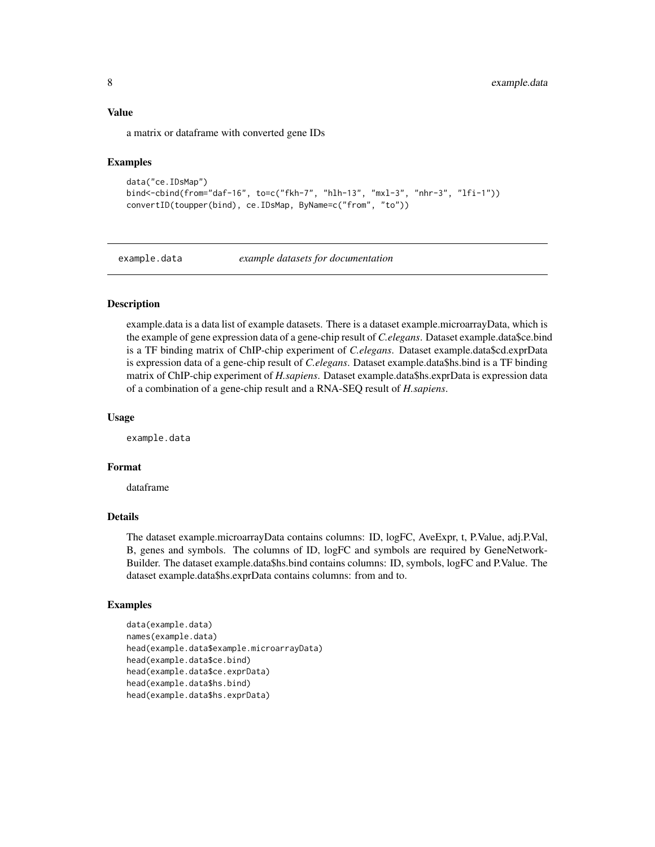#### <span id="page-7-0"></span>Value

a matrix or dataframe with converted gene IDs

#### Examples

```
data("ce.IDsMap")
bind<-cbind(from="daf-16", to=c("fkh-7", "hlh-13", "mxl-3", "nhr-3", "lfi-1"))
convertID(toupper(bind), ce.IDsMap, ByName=c("from", "to"))
```
example.data *example datasets for documentation*

#### Description

example.data is a data list of example datasets. There is a dataset example.microarrayData, which is the example of gene expression data of a gene-chip result of *C.elegans*. Dataset example.data\$ce.bind is a TF binding matrix of ChIP-chip experiment of *C.elegans*. Dataset example.data\$cd.exprData is expression data of a gene-chip result of *C.elegans*. Dataset example.data\$hs.bind is a TF binding matrix of ChIP-chip experiment of *H.sapiens*. Dataset example.data\$hs.exprData is expression data of a combination of a gene-chip result and a RNA-SEQ result of *H.sapiens*.

#### Usage

example.data

#### Format

dataframe

## Details

The dataset example.microarrayData contains columns: ID, logFC, AveExpr, t, P.Value, adj.P.Val, B, genes and symbols. The columns of ID, logFC and symbols are required by GeneNetwork-Builder. The dataset example.data\$hs.bind contains columns: ID, symbols, logFC and P.Value. The dataset example.data\$hs.exprData contains columns: from and to.

```
data(example.data)
names(example.data)
head(example.data$example.microarrayData)
head(example.data$ce.bind)
head(example.data$ce.exprData)
head(example.data$hs.bind)
head(example.data$hs.exprData)
```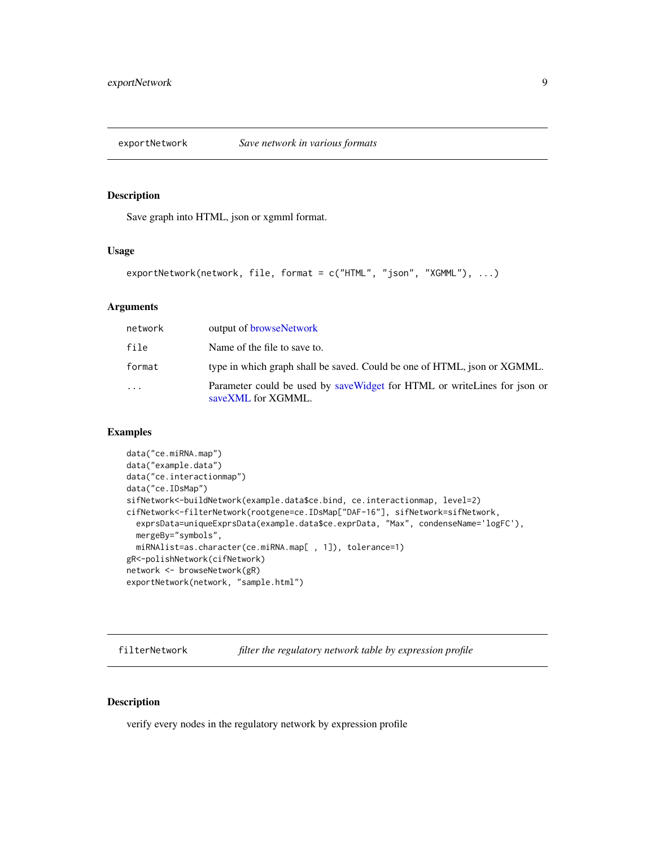<span id="page-8-0"></span>

Save graph into HTML, json or xgmml format.

#### Usage

```
exportNetwork(network, file, format = c("HTML", "json", "XGMML"), ...)
```
## **Arguments**

| network  | output of browseNetwork                                                                          |
|----------|--------------------------------------------------------------------------------------------------|
| file     | Name of the file to save to.                                                                     |
| format   | type in which graph shall be saved. Could be one of HTML, json or XGMML.                         |
| $\cdots$ | Parameter could be used by save Widget for HTML or write Lines for json or<br>saveXML for XGMML. |

#### Examples

```
data("ce.miRNA.map")
data("example.data")
data("ce.interactionmap")
data("ce.IDsMap")
sifNetwork<-buildNetwork(example.data$ce.bind, ce.interactionmap, level=2)
cifNetwork<-filterNetwork(rootgene=ce.IDsMap["DAF-16"], sifNetwork=sifNetwork,
  exprsData=uniqueExprsData(example.data$ce.exprData, "Max", condenseName='logFC'),
  mergeBy="symbols",
  miRNAlist=as.character(ce.miRNA.map[ , 1]), tolerance=1)
gR<-polishNetwork(cifNetwork)
network <- browseNetwork(gR)
exportNetwork(network, "sample.html")
```
filterNetwork *filter the regulatory network table by expression profile*

#### Description

verify every nodes in the regulatory network by expression profile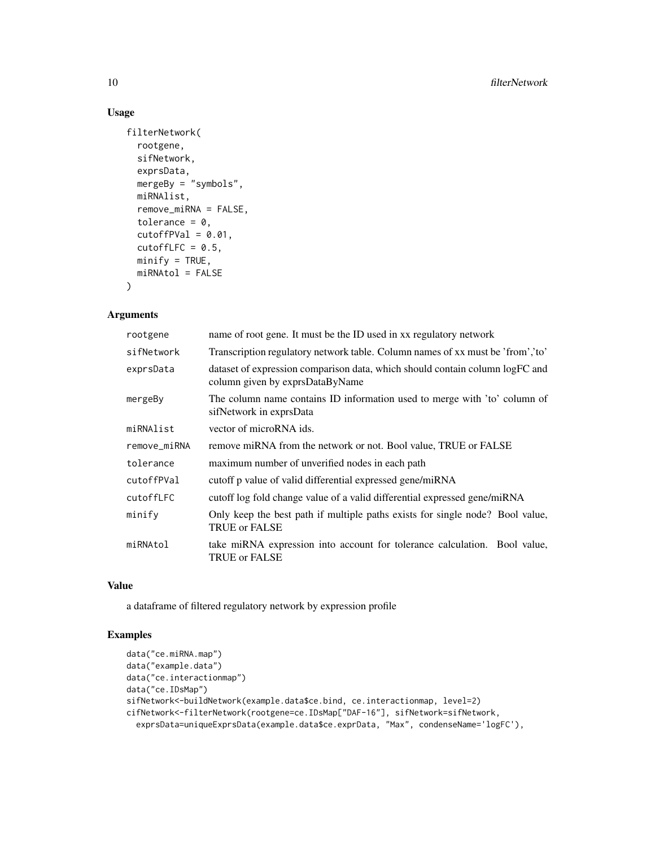## Usage

```
filterNetwork(
  rootgene,
  sifNetwork,
  exprsData,
  mergeBy = "symbols",
 miRNAlist,
  remove_miRNA = FALSE,
  tolerance = 0,
  cutoffPVal = 0.01,cutoffLFC = 0.5,
 minify = TRUE,miRNAtol = FALSE
\mathcal{L}
```
#### Arguments

| rootgene     | name of root gene. It must be the ID used in xx regulatory network                                              |
|--------------|-----------------------------------------------------------------------------------------------------------------|
| sifNetwork   | Transcription regulatory network table. Column names of xx must be 'from', 'to'                                 |
| exprsData    | dataset of expression comparison data, which should contain column logFC and<br>column given by exprsDataByName |
| mergeBy      | The column name contains ID information used to merge with 'to' column of<br>sifNetwork in exprsData            |
| miRNAlist    | vector of microRNA ids.                                                                                         |
| remove_miRNA | remove miRNA from the network or not. Bool value, TRUE or FALSE                                                 |
| tolerance    | maximum number of unverified nodes in each path                                                                 |
| cutoffPVal   | cutoff p value of valid differential expressed gene/miRNA                                                       |
| cutoffLFC    | cutoff log fold change value of a valid differential expressed gene/miRNA                                       |
| minify       | Only keep the best path if multiple paths exists for single node? Bool value,<br><b>TRUE or FALSE</b>           |
| miRNAtol     | take miRNA expression into account for tolerance calculation. Bool value,<br><b>TRUE or FALSE</b>               |

## Value

a dataframe of filtered regulatory network by expression profile

```
data("ce.miRNA.map")
data("example.data")
data("ce.interactionmap")
data("ce.IDsMap")
sifNetwork<-buildNetwork(example.data$ce.bind, ce.interactionmap, level=2)
cifNetwork<-filterNetwork(rootgene=ce.IDsMap["DAF-16"], sifNetwork=sifNetwork,
  exprsData=uniqueExprsData(example.data$ce.exprData, "Max", condenseName='logFC'),
```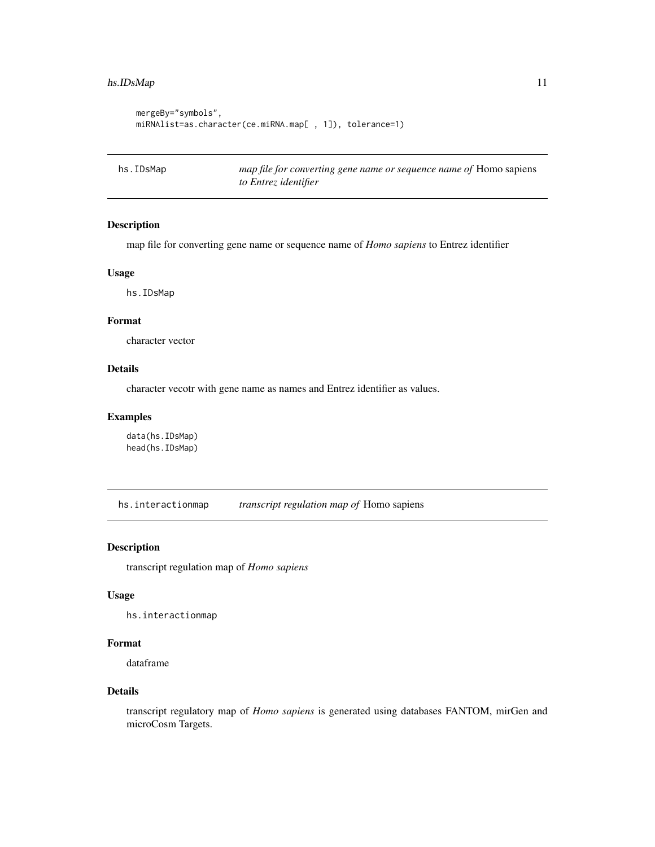## <span id="page-10-0"></span>hs.IDsMap 11

```
mergeBy="symbols",
miRNAlist=as.character(ce.miRNA.map[ , 1]), tolerance=1)
```
hs.IDsMap *map file for converting gene name or sequence name of* Homo sapiens *to Entrez identifier*

#### Description

map file for converting gene name or sequence name of *Homo sapiens* to Entrez identifier

#### Usage

hs.IDsMap

#### Format

character vector

## Details

character vecotr with gene name as names and Entrez identifier as values.

#### Examples

data(hs.IDsMap) head(hs.IDsMap)

hs.interactionmap *transcript regulation map of* Homo sapiens

### Description

transcript regulation map of *Homo sapiens*

## Usage

hs.interactionmap

#### Format

dataframe

#### Details

transcript regulatory map of *Homo sapiens* is generated using databases FANTOM, mirGen and microCosm Targets.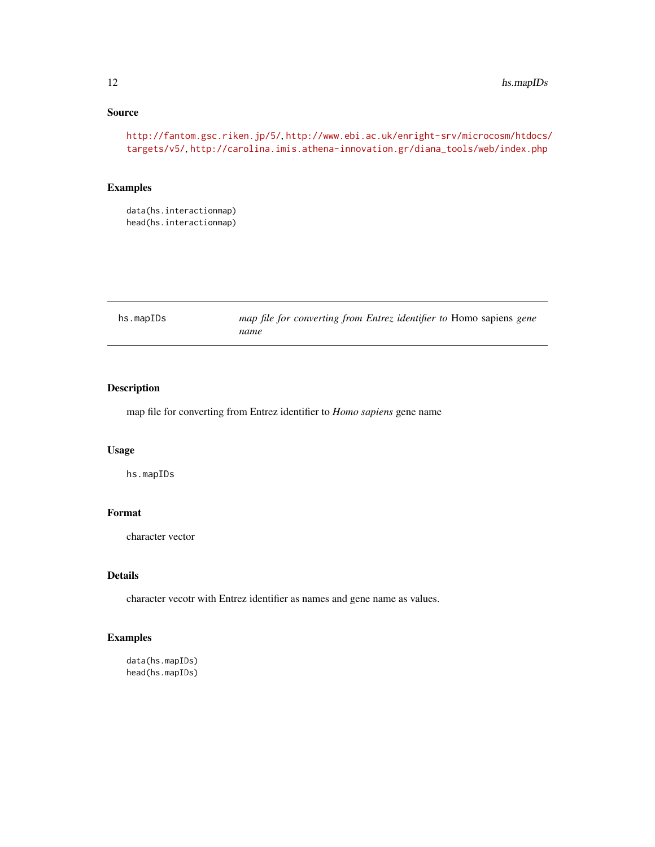## Source

```
http://fantom.gsc.riken.jp/5/, http://www.ebi.ac.uk/enright-srv/microcosm/htdocs/
targets/v5/, http://carolina.imis.athena-innovation.gr/diana_tools/web/index.php
```
## Examples

data(hs.interactionmap) head(hs.interactionmap)

| hs.mapIDs | map file for converting from Entrez identifier to Homo sapiens gene |
|-----------|---------------------------------------------------------------------|
|           | name                                                                |

## Description

map file for converting from Entrez identifier to *Homo sapiens* gene name

## Usage

hs.mapIDs

## Format

character vector

## Details

character vecotr with Entrez identifier as names and gene name as values.

## Examples

data(hs.mapIDs) head(hs.mapIDs)

<span id="page-11-0"></span>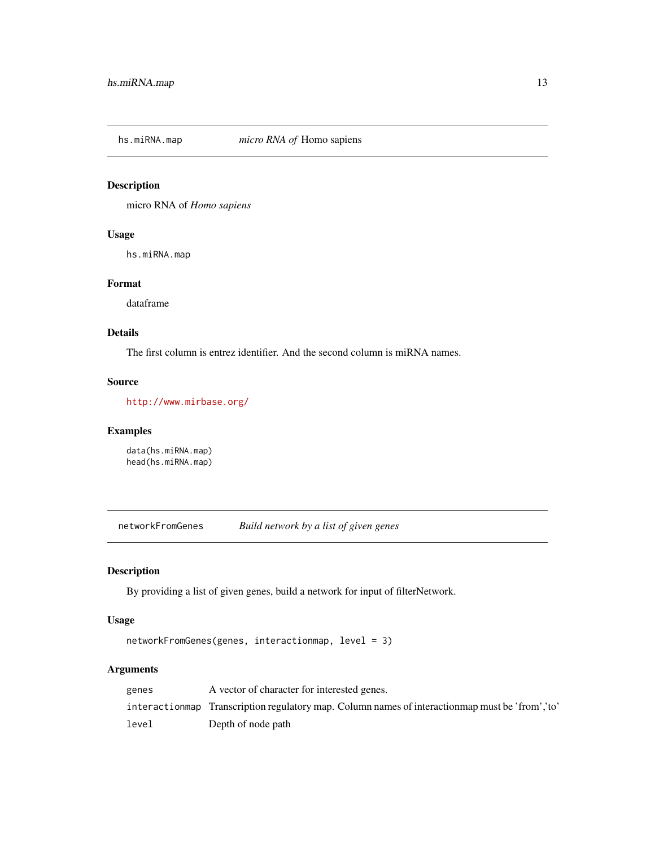<span id="page-12-0"></span>

micro RNA of *Homo sapiens*

## Usage

hs.miRNA.map

## Format

dataframe

## Details

The first column is entrez identifier. And the second column is miRNA names.

### Source

<http://www.mirbase.org/>

## Examples

data(hs.miRNA.map) head(hs.miRNA.map)

networkFromGenes *Build network by a list of given genes*

## Description

By providing a list of given genes, build a network for input of filterNetwork.

## Usage

```
networkFromGenes(genes, interactionmap, level = 3)
```

| genes | A vector of character for interested genes.                                                      |
|-------|--------------------------------------------------------------------------------------------------|
|       | interactionmap Transcription regulatory map. Column names of interactionmap must be 'from', 'to' |
| level | Depth of node path                                                                               |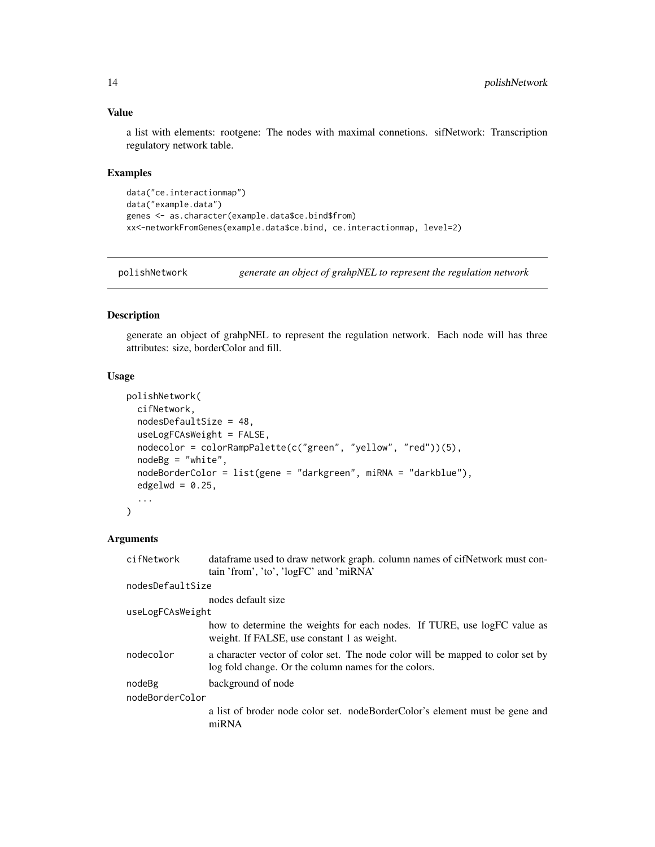#### <span id="page-13-0"></span>Value

a list with elements: rootgene: The nodes with maximal connetions. sifNetwork: Transcription regulatory network table.

### Examples

```
data("ce.interactionmap")
data("example.data")
genes <- as.character(example.data$ce.bind$from)
xx<-networkFromGenes(example.data$ce.bind, ce.interactionmap, level=2)
```
<span id="page-13-1"></span>polishNetwork *generate an object of grahpNEL to represent the regulation network*

#### Description

generate an object of grahpNEL to represent the regulation network. Each node will has three attributes: size, borderColor and fill.

## Usage

```
polishNetwork(
  cifNetwork,
  nodesDefaultSize = 48,
  useLogFCAsWeight = FALSE,
  nodecolor = colorRampPalette(c("green", "yellow", "red"))(5),
  nodeBg = "white",nodeBorderColor = list(gene = "darkgreen", miRNA = "darkblue"),
  edgelwd = 0.25,
  ...
)
```

| cifNetwork       | dataframe used to draw network graph. column names of cifNetwork must con-<br>tain 'from', 'to', 'logFC' and 'miRNA'                   |  |
|------------------|----------------------------------------------------------------------------------------------------------------------------------------|--|
| nodesDefaultSize |                                                                                                                                        |  |
|                  | nodes default size                                                                                                                     |  |
| useLogFCAsWeight |                                                                                                                                        |  |
|                  | how to determine the weights for each nodes. If TURE, use logFC value as<br>weight. If FALSE, use constant 1 as weight.                |  |
| nodecolor        | a character vector of color set. The node color will be mapped to color set by<br>log fold change. Or the column names for the colors. |  |
| nodeBg           | background of node                                                                                                                     |  |
| nodeBorderColor  |                                                                                                                                        |  |
|                  | a list of broder node color set. nodeBorderColor's element must be gene and<br>miRNA                                                   |  |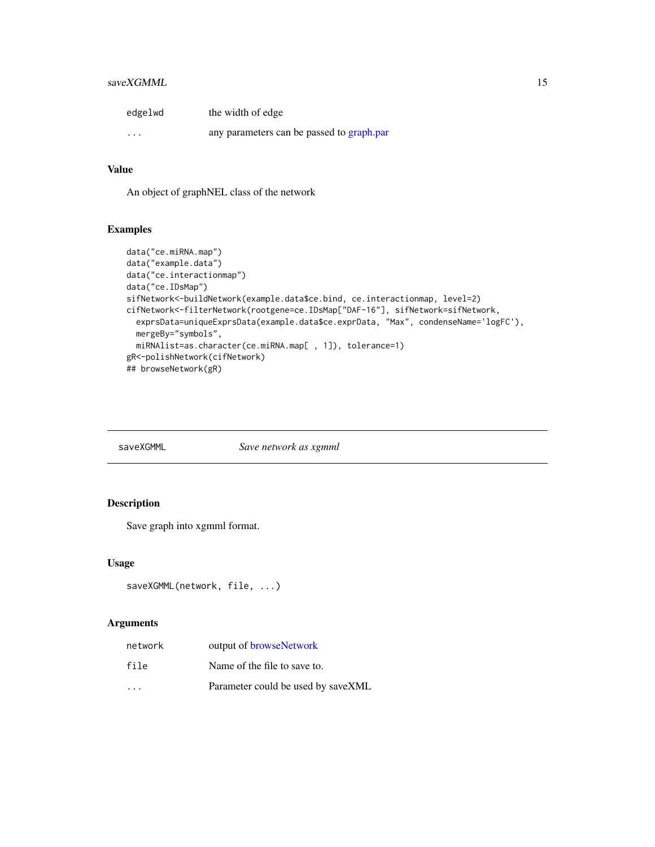## <span id="page-14-0"></span>saveXGMML 15

| edgelwd | the width of edge                         |
|---------|-------------------------------------------|
| $\cdot$ | any parameters can be passed to graph.par |

## Value

An object of graphNEL class of the network

## Examples

```
data("ce.miRNA.map")
data("example.data")
data("ce.interactionmap")
data("ce.IDsMap")
sifNetwork<-buildNetwork(example.data$ce.bind, ce.interactionmap, level=2)
cifNetwork<-filterNetwork(rootgene=ce.IDsMap["DAF-16"], sifNetwork=sifNetwork,
  exprsData=uniqueExprsData(example.data$ce.exprData, "Max", condenseName='logFC'),
  mergeBy="symbols",
  miRNAlist=as.character(ce.miRNA.map[ , 1]), tolerance=1)
gR<-polishNetwork(cifNetwork)
## browseNetwork(gR)
```
saveXGMML *Save network as xgmml*

## Description

Save graph into xgmml format.

#### Usage

```
saveXGMML(network, file, ...)
```

| network                 | output of browseNetwork            |
|-------------------------|------------------------------------|
| file                    | Name of the file to save to.       |
| $\cdot$ $\cdot$ $\cdot$ | Parameter could be used by saveXML |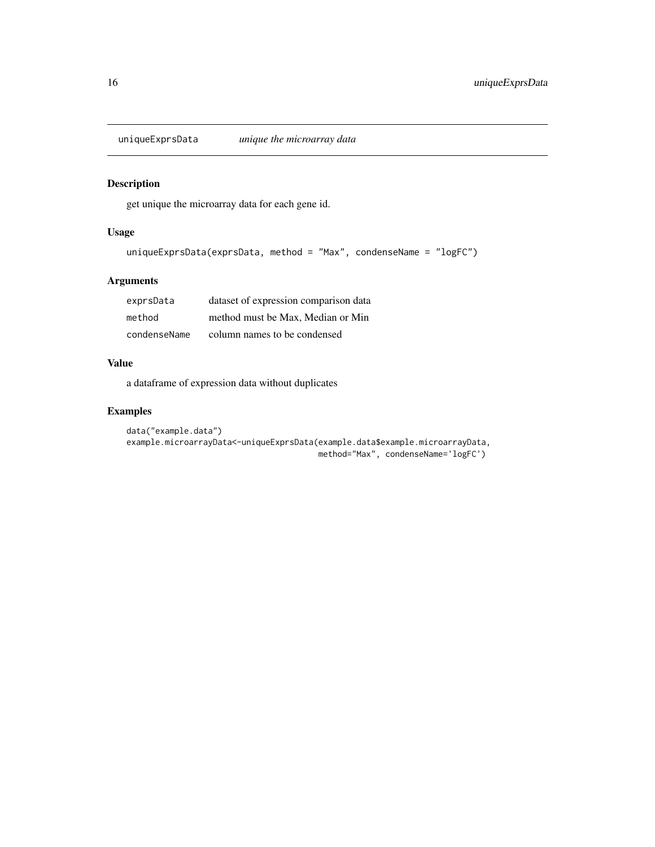<span id="page-15-0"></span>

get unique the microarray data for each gene id.

## Usage

```
uniqueExprsData(exprsData, method = "Max", condenseName = "logFC")
```
## Arguments

| exprsData    | dataset of expression comparison data |
|--------------|---------------------------------------|
| method       | method must be Max. Median or Min     |
| condenseName | column names to be condensed          |

#### Value

a dataframe of expression data without duplicates

```
data("example.data")
example.microarrayData<-uniqueExprsData(example.data$example.microarrayData,
                                       method="Max", condenseName='logFC')
```